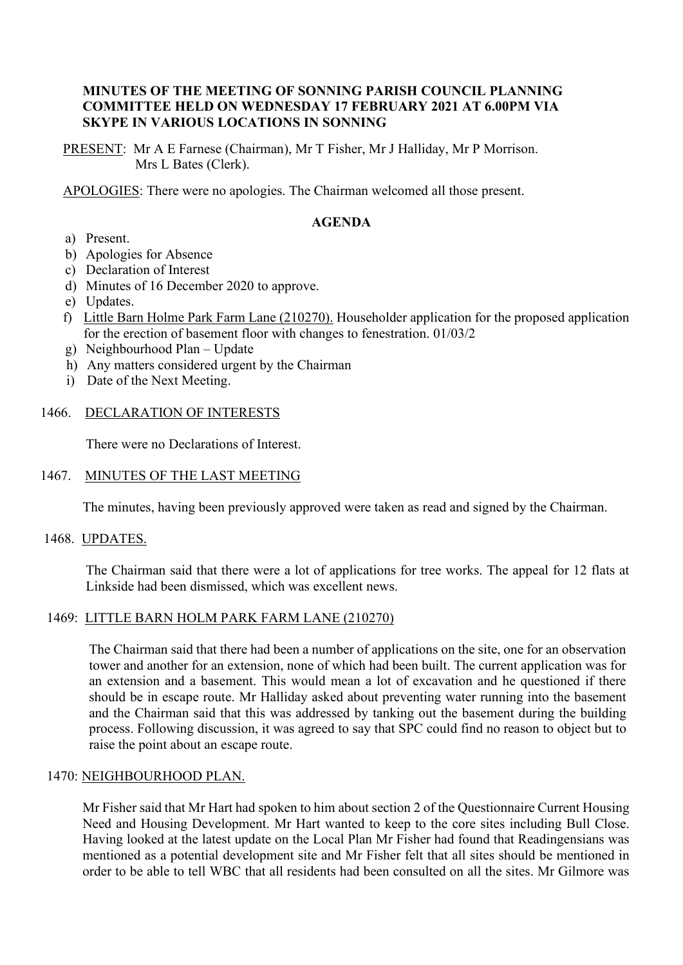### **MINUTES OF THE MEETING OF SONNING PARISH COUNCIL PLANNING COMMITTEE HELD ON WEDNESDAY 17 FEBRUARY 2021 AT 6.00PM VIA SKYPE IN VARIOUS LOCATIONS IN SONNING**

PRESENT: Mr A E Farnese (Chairman), Mr T Fisher, Mr J Halliday, Mr P Morrison. Mrs L Bates (Clerk).

APOLOGIES: There were no apologies. The Chairman welcomed all those present.

# **AGENDA**

- a) Present.
- b) Apologies for Absence
- c) Declaration of Interest
- d) Minutes of 16 December 2020 to approve.
- e) Updates.
- f) Little Barn Holme Park Farm Lane (210270). Householder application for the proposed application for the erection of basement floor with changes to fenestration. 01/03/2
- g) Neighbourhood Plan Update
- h) Any matters considered urgent by the Chairman
- i) Date of the Next Meeting.

## 1466. DECLARATION OF INTERESTS

There were no Declarations of Interest.

### 1467. MINUTES OF THE LAST MEETING

The minutes, having been previously approved were taken as read and signed by the Chairman.

#### 1468. UPDATES.

The Chairman said that there were a lot of applications for tree works. The appeal for 12 flats at Linkside had been dismissed, which was excellent news.

#### 1469: LITTLE BARN HOLM PARK FARM LANE (210270)

The Chairman said that there had been a number of applications on the site, one for an observation tower and another for an extension, none of which had been built. The current application was for an extension and a basement. This would mean a lot of excavation and he questioned if there should be in escape route. Mr Halliday asked about preventing water running into the basement and the Chairman said that this was addressed by tanking out the basement during the building process. Following discussion, it was agreed to say that SPC could find no reason to object but to raise the point about an escape route.

#### 1470: NEIGHBOURHOOD PLAN.

Mr Fisher said that Mr Hart had spoken to him about section 2 of the Questionnaire Current Housing Need and Housing Development. Mr Hart wanted to keep to the core sites including Bull Close. Having looked at the latest update on the Local Plan Mr Fisher had found that Readingensians was mentioned as a potential development site and Mr Fisher felt that all sites should be mentioned in order to be able to tell WBC that all residents had been consulted on all the sites. Mr Gilmore was